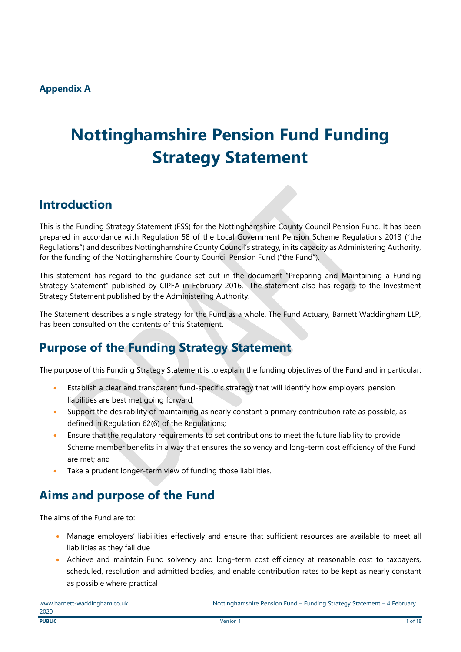# **Nottinghamshire Pension Fund Funding Strategy Statement**

# **Introduction**

This is the Funding Strategy Statement (FSS) for the Nottinghamshire County Council Pension Fund. It has been prepared in accordance with Regulation 58 of the Local Government Pension Scheme Regulations 2013 ("the Regulations") and describes Nottinghamshire County Council's strategy, in its capacity as Administering Authority, for the funding of the Nottinghamshire County Council Pension Fund ("the Fund").

This statement has regard to the guidance set out in the document "Preparing and Maintaining a Funding Strategy Statement" published by CIPFA in February 2016. The statement also has regard to the Investment Strategy Statement published by the Administering Authority.

The Statement describes a single strategy for the Fund as a whole. The Fund Actuary, Barnett Waddingham LLP, has been consulted on the contents of this Statement.

# **Purpose of the Funding Strategy Statement**

The purpose of this Funding Strategy Statement is to explain the funding objectives of the Fund and in particular:

- Establish a clear and transparent fund-specific strategy that will identify how employers' pension liabilities are best met going forward;
- Support the desirability of maintaining as nearly constant a primary contribution rate as possible, as defined in Regulation 62(6) of the Regulations;
- Ensure that the regulatory requirements to set contributions to meet the future liability to provide Scheme member benefits in a way that ensures the solvency and long-term cost efficiency of the Fund are met; and
- Take a prudent longer-term view of funding those liabilities.

# **Aims and purpose of the Fund**

The aims of the Fund are to:

- Manage employers' liabilities effectively and ensure that sufficient resources are available to meet all liabilities as they fall due
- Achieve and maintain Fund solvency and long-term cost efficiency at reasonable cost to taxpayers, scheduled, resolution and admitted bodies, and enable contribution rates to be kept as nearly constant as possible where practical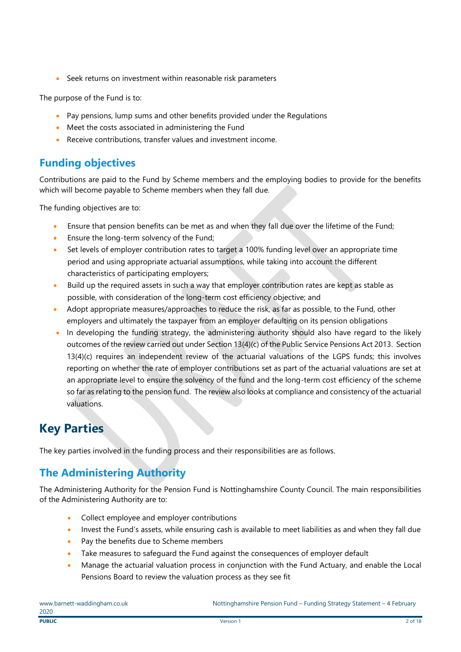• Seek returns on investment within reasonable risk parameters

The purpose of the Fund is to:

- Pay pensions, lump sums and other benefits provided under the Regulations
- Meet the costs associated in administering the Fund
- Receive contributions, transfer values and investment income.

### **Funding objectives**

Contributions are paid to the Fund by Scheme members and the employing bodies to provide for the benefits which will become payable to Scheme members when they fall due.

The funding objectives are to:

- Ensure that pension benefits can be met as and when they fall due over the lifetime of the Fund;
- Ensure the long-term solvency of the Fund;
- Set levels of employer contribution rates to target a 100% funding level over an appropriate time period and using appropriate actuarial assumptions, while taking into account the different characteristics of participating employers;
- Build up the required assets in such a way that employer contribution rates are kept as stable as possible, with consideration of the long-term cost efficiency objective; and
- Adopt appropriate measures/approaches to reduce the risk, as far as possible, to the Fund, other employers and ultimately the taxpayer from an employer defaulting on its pension obligations
- In developing the funding strategy, the administering authority should also have regard to the likely outcomes of the review carried out under Section 13(4)(c) of the Public Service Pensions Act 2013. Section 13(4)(c) requires an independent review of the actuarial valuations of the LGPS funds; this involves reporting on whether the rate of employer contributions set as part of the actuarial valuations are set at an appropriate level to ensure the solvency of the fund and the long-term cost efficiency of the scheme so far as relating to the pension fund. The review also looks at compliance and consistency of the actuarial valuations.

# **Key Parties**

The key parties involved in the funding process and their responsibilities are as follows.

### **The Administering Authority**

The Administering Authority for the Pension Fund is Nottinghamshire County Council. The main responsibilities of the Administering Authority are to:

- Collect employee and employer contributions
- Invest the Fund's assets, while ensuring cash is available to meet liabilities as and when they fall due
- Pay the benefits due to Scheme members
- Take measures to safeguard the Fund against the consequences of employer default
- Manage the actuarial valuation process in conjunction with the Fund Actuary, and enable the Local Pensions Board to review the valuation process as they see fit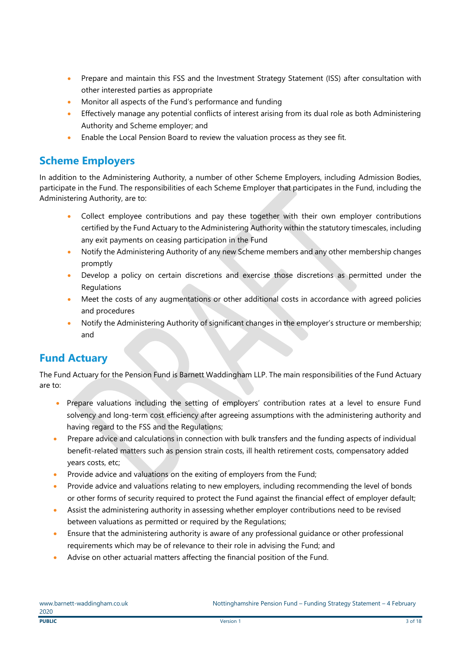- Prepare and maintain this FSS and the Investment Strategy Statement (ISS) after consultation with other interested parties as appropriate
- Monitor all aspects of the Fund's performance and funding
- Effectively manage any potential conflicts of interest arising from its dual role as both Administering Authority and Scheme employer; and
- Enable the Local Pension Board to review the valuation process as they see fit.

### **Scheme Employers**

In addition to the Administering Authority, a number of other Scheme Employers, including Admission Bodies, participate in the Fund. The responsibilities of each Scheme Employer that participates in the Fund, including the Administering Authority, are to:

- Collect employee contributions and pay these together with their own employer contributions certified by the Fund Actuary to the Administering Authority within the statutory timescales, including any exit payments on ceasing participation in the Fund
- Notify the Administering Authority of any new Scheme members and any other membership changes promptly
- Develop a policy on certain discretions and exercise those discretions as permitted under the Regulations
- Meet the costs of any augmentations or other additional costs in accordance with agreed policies and procedures
- Notify the Administering Authority of significant changes in the employer's structure or membership; and

### **Fund Actuary**

The Fund Actuary for the Pension Fund is Barnett Waddingham LLP. The main responsibilities of the Fund Actuary are to:

- Prepare valuations including the setting of employers' contribution rates at a level to ensure Fund solvency and long-term cost efficiency after agreeing assumptions with the administering authority and having regard to the FSS and the Regulations;
- Prepare advice and calculations in connection with bulk transfers and the funding aspects of individual benefit-related matters such as pension strain costs, ill health retirement costs, compensatory added years costs, etc;
- Provide advice and valuations on the exiting of employers from the Fund;
- Provide advice and valuations relating to new employers, including recommending the level of bonds or other forms of security required to protect the Fund against the financial effect of employer default;
- Assist the administering authority in assessing whether employer contributions need to be revised between valuations as permitted or required by the Requlations;
- Ensure that the administering authority is aware of any professional guidance or other professional requirements which may be of relevance to their role in advising the Fund; and
- Advise on other actuarial matters affecting the financial position of the Fund.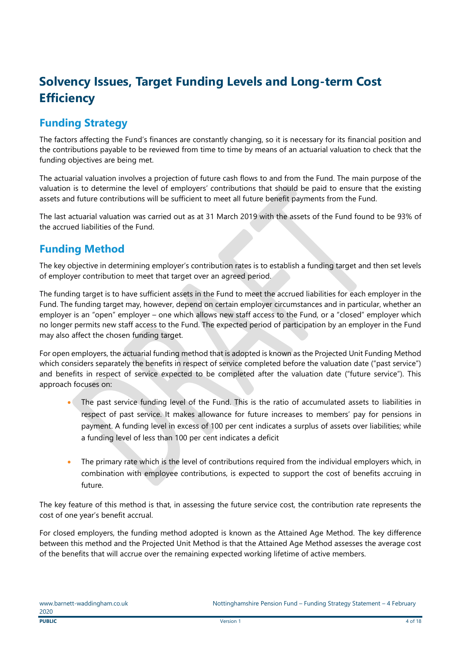# **Solvency Issues, Target Funding Levels and Long-term Cost Efficiency**

### **Funding Strategy**

The factors affecting the Fund's finances are constantly changing, so it is necessary for its financial position and the contributions payable to be reviewed from time to time by means of an actuarial valuation to check that the funding objectives are being met.

The actuarial valuation involves a projection of future cash flows to and from the Fund. The main purpose of the valuation is to determine the level of employers' contributions that should be paid to ensure that the existing assets and future contributions will be sufficient to meet all future benefit payments from the Fund.

The last actuarial valuation was carried out as at 31 March 2019 with the assets of the Fund found to be 93% of the accrued liabilities of the Fund.

### **Funding Method**

The key objective in determining employer's contribution rates is to establish a funding target and then set levels of employer contribution to meet that target over an agreed period.

The funding target is to have sufficient assets in the Fund to meet the accrued liabilities for each employer in the Fund. The funding target may, however, depend on certain employer circumstances and in particular, whether an employer is an "open" employer – one which allows new staff access to the Fund, or a "closed" employer which no longer permits new staff access to the Fund. The expected period of participation by an employer in the Fund may also affect the chosen funding target.

For open employers, the actuarial funding method that is adopted is known as the Projected Unit Funding Method which considers separately the benefits in respect of service completed before the valuation date ("past service") and benefits in respect of service expected to be completed after the valuation date ("future service"). This approach focuses on:

- The past service funding level of the Fund. This is the ratio of accumulated assets to liabilities in respect of past service. It makes allowance for future increases to members' pay for pensions in payment. A funding level in excess of 100 per cent indicates a surplus of assets over liabilities; while a funding level of less than 100 per cent indicates a deficit
- The primary rate which is the level of contributions required from the individual employers which, in combination with employee contributions, is expected to support the cost of benefits accruing in future.

The key feature of this method is that, in assessing the future service cost, the contribution rate represents the cost of one year's benefit accrual.

For closed employers, the funding method adopted is known as the Attained Age Method. The key difference between this method and the Projected Unit Method is that the Attained Age Method assesses the average cost of the benefits that will accrue over the remaining expected working lifetime of active members.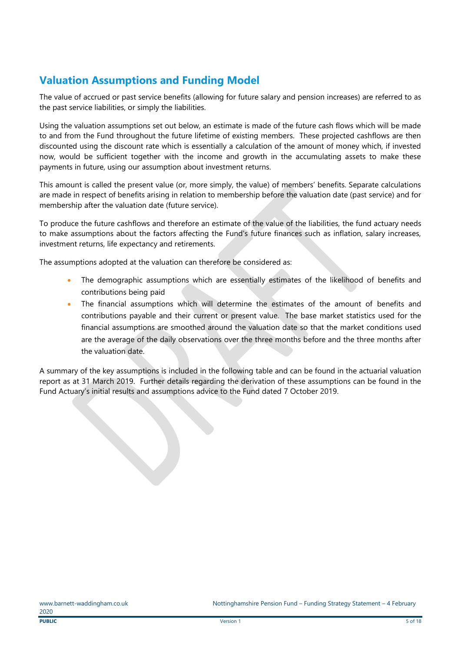## **Valuation Assumptions and Funding Model**

The value of accrued or past service benefits (allowing for future salary and pension increases) are referred to as the past service liabilities, or simply the liabilities.

Using the valuation assumptions set out below, an estimate is made of the future cash flows which will be made to and from the Fund throughout the future lifetime of existing members. These projected cashflows are then discounted using the discount rate which is essentially a calculation of the amount of money which, if invested now, would be sufficient together with the income and growth in the accumulating assets to make these payments in future, using our assumption about investment returns.

This amount is called the present value (or, more simply, the value) of members' benefits. Separate calculations are made in respect of benefits arising in relation to membership before the valuation date (past service) and for membership after the valuation date (future service).

To produce the future cashflows and therefore an estimate of the value of the liabilities, the fund actuary needs to make assumptions about the factors affecting the Fund's future finances such as inflation, salary increases, investment returns, life expectancy and retirements.

The assumptions adopted at the valuation can therefore be considered as:

- The demographic assumptions which are essentially estimates of the likelihood of benefits and contributions being paid
- The financial assumptions which will determine the estimates of the amount of benefits and contributions payable and their current or present value. The base market statistics used for the financial assumptions are smoothed around the valuation date so that the market conditions used are the average of the daily observations over the three months before and the three months after the valuation date.

A summary of the key assumptions is included in the following table and can be found in the actuarial valuation report as at 31 March 2019. Further details regarding the derivation of these assumptions can be found in the Fund Actuary's initial results and assumptions advice to the Fund dated 7 October 2019.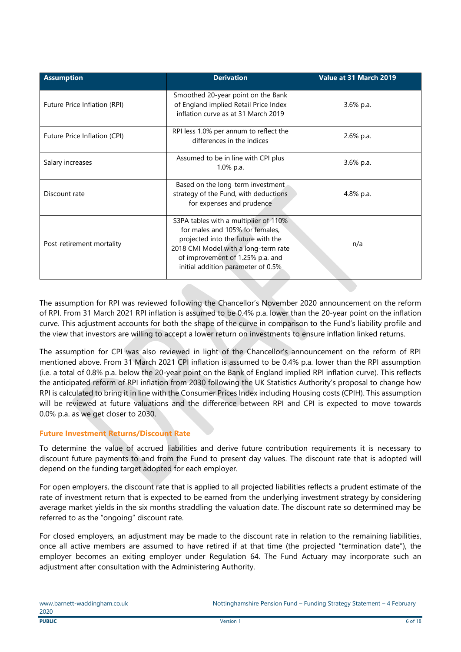| <b>Assumption</b>            | <b>Derivation</b>                                                                                                                                                                                                                | Value at 31 March 2019 |
|------------------------------|----------------------------------------------------------------------------------------------------------------------------------------------------------------------------------------------------------------------------------|------------------------|
| Future Price Inflation (RPI) | Smoothed 20-year point on the Bank<br>of England implied Retail Price Index<br>inflation curve as at 31 March 2019                                                                                                               | 3.6% p.a.              |
| Future Price Inflation (CPI) | RPI less 1.0% per annum to reflect the<br>differences in the indices                                                                                                                                                             | 2.6% p.a.              |
| Salary increases             | Assumed to be in line with CPI plus<br>$1.0\%$ p.a.                                                                                                                                                                              | 3.6% p.a.              |
| Discount rate                | Based on the long-term investment<br>strategy of the Fund, with deductions<br>for expenses and prudence                                                                                                                          | 4.8% p.a.              |
| Post-retirement mortality    | S3PA tables with a multiplier of 110%<br>for males and 105% for females,<br>projected into the future with the<br>2018 CMI Model with a long-term rate<br>of improvement of 1.25% p.a. and<br>initial addition parameter of 0.5% | n/a                    |

The assumption for RPI was reviewed following the Chancellor's November 2020 announcement on the reform of RPI. From 31 March 2021 RPI inflation is assumed to be 0.4% p.a. lower than the 20-year point on the inflation curve. This adjustment accounts for both the shape of the curve in comparison to the Fund's liability profile and the view that investors are willing to accept a lower return on investments to ensure inflation linked returns.

The assumption for CPI was also reviewed in light of the Chancellor's announcement on the reform of RPI mentioned above. From 31 March 2021 CPI inflation is assumed to be 0.4% p.a. lower than the RPI assumption (i.e. a total of 0.8% p.a. below the 20-year point on the Bank of England implied RPI inflation curve). This reflects the anticipated reform of RPI inflation from 2030 following the UK Statistics Authority's proposal to change how RPI is calculated to bring it in line with the Consumer Prices Index including Housing costs (CPIH). This assumption will be reviewed at future valuations and the difference between RPI and CPI is expected to move towards 0.0% p.a. as we get closer to 2030.

#### **Future Investment Returns/Discount Rate**

To determine the value of accrued liabilities and derive future contribution requirements it is necessary to discount future payments to and from the Fund to present day values. The discount rate that is adopted will depend on the funding target adopted for each employer.

For open employers, the discount rate that is applied to all projected liabilities reflects a prudent estimate of the rate of investment return that is expected to be earned from the underlying investment strategy by considering average market yields in the six months straddling the valuation date. The discount rate so determined may be referred to as the "ongoing" discount rate.

For closed employers, an adjustment may be made to the discount rate in relation to the remaining liabilities, once all active members are assumed to have retired if at that time (the projected "termination date"), the employer becomes an exiting employer under Regulation 64. The Fund Actuary may incorporate such an adjustment after consultation with the Administering Authority.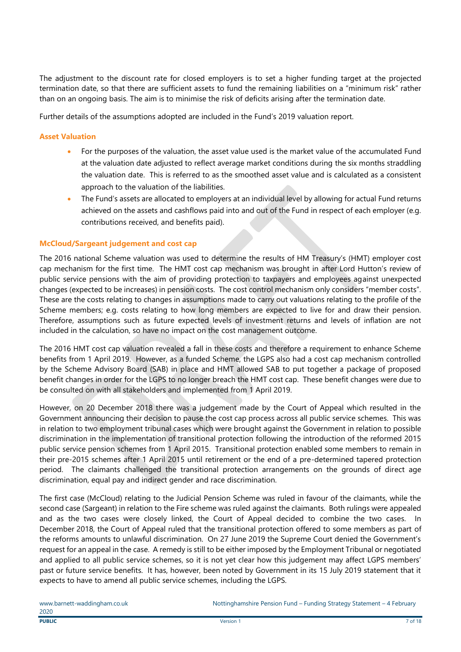The adjustment to the discount rate for closed employers is to set a higher funding target at the projected termination date, so that there are sufficient assets to fund the remaining liabilities on a "minimum risk" rather than on an ongoing basis. The aim is to minimise the risk of deficits arising after the termination date.

Further details of the assumptions adopted are included in the Fund's 2019 valuation report.

#### **Asset Valuation**

- For the purposes of the valuation, the asset value used is the market value of the accumulated Fund at the valuation date adjusted to reflect average market conditions during the six months straddling the valuation date. This is referred to as the smoothed asset value and is calculated as a consistent approach to the valuation of the liabilities.
- The Fund's assets are allocated to employers at an individual level by allowing for actual Fund returns achieved on the assets and cashflows paid into and out of the Fund in respect of each employer (e.g. contributions received, and benefits paid).

#### **McCloud/Sargeant judgement and cost cap**

The 2016 national Scheme valuation was used to determine the results of HM Treasury's (HMT) employer cost cap mechanism for the first time. The HMT cost cap mechanism was brought in after Lord Hutton's review of public service pensions with the aim of providing protection to taxpayers and employees against unexpected changes (expected to be increases) in pension costs. The cost control mechanism only considers "member costs". These are the costs relating to changes in assumptions made to carry out valuations relating to the profile of the Scheme members; e.g. costs relating to how long members are expected to live for and draw their pension. Therefore, assumptions such as future expected levels of investment returns and levels of inflation are not included in the calculation, so have no impact on the cost management outcome.

The 2016 HMT cost cap valuation revealed a fall in these costs and therefore a requirement to enhance Scheme benefits from 1 April 2019. However, as a funded Scheme, the LGPS also had a cost cap mechanism controlled by the Scheme Advisory Board (SAB) in place and HMT allowed SAB to put together a package of proposed benefit changes in order for the LGPS to no longer breach the HMT cost cap. These benefit changes were due to be consulted on with all stakeholders and implemented from 1 April 2019.

However, on 20 December 2018 there was a judgement made by the Court of Appeal which resulted in the Government announcing their decision to pause the cost cap process across all public service schemes. This was in relation to two employment tribunal cases which were brought against the Government in relation to possible discrimination in the implementation of transitional protection following the introduction of the reformed 2015 public service pension schemes from 1 April 2015. Transitional protection enabled some members to remain in their pre-2015 schemes after 1 April 2015 until retirement or the end of a pre-determined tapered protection period. The claimants challenged the transitional protection arrangements on the grounds of direct age discrimination, equal pay and indirect gender and race discrimination.

The first case (McCloud) relating to the Judicial Pension Scheme was ruled in favour of the claimants, while the second case (Sargeant) in relation to the Fire scheme was ruled against the claimants. Both rulings were appealed and as the two cases were closely linked, the Court of Appeal decided to combine the two cases. In December 2018, the Court of Appeal ruled that the transitional protection offered to some members as part of the reforms amounts to unlawful discrimination. On 27 June 2019 the Supreme Court denied the Government's request for an appeal in the case. A remedy is still to be either imposed by the Employment Tribunal or negotiated and applied to all public service schemes, so it is not yet clear how this judgement may affect LGPS members' past or future service benefits. It has, however, been noted by Government in its 15 July 2019 statement that it expects to have to amend all public service schemes, including the LGPS.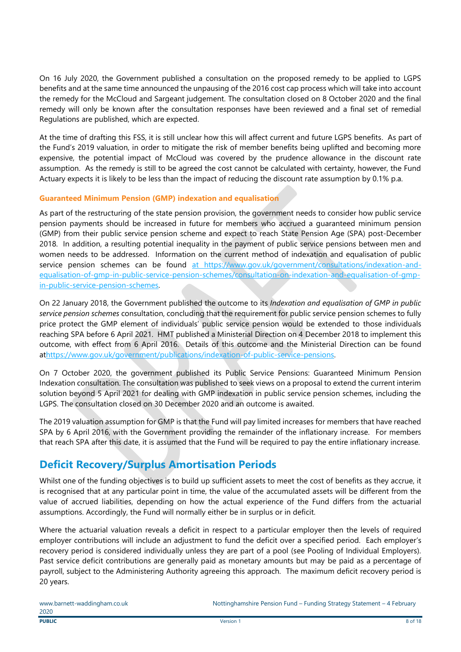On 16 July 2020, the Government published a consultation on the proposed remedy to be applied to LGPS benefits and at the same time announced the unpausing of the 2016 cost cap process which will take into account the remedy for the McCloud and Sargeant judgement. The consultation closed on 8 October 2020 and the final remedy will only be known after the consultation responses have been reviewed and a final set of remedial Regulations are published, which are expected.

At the time of drafting this FSS, it is still unclear how this will affect current and future LGPS benefits. As part of the Fund's 2019 valuation, in order to mitigate the risk of member benefits being uplifted and becoming more expensive, the potential impact of McCloud was covered by the prudence allowance in the discount rate assumption. As the remedy is still to be agreed the cost cannot be calculated with certainty, however, the Fund Actuary expects it is likely to be less than the impact of reducing the discount rate assumption by 0.1% p.a.

#### **Guaranteed Minimum Pension (GMP) indexation and equalisation**

As part of the restructuring of the state pension provision, the government needs to consider how public service pension payments should be increased in future for members who accrued a guaranteed minimum pension (GMP) from their public service pension scheme and expect to reach State Pension Age (SPA) post-December 2018. In addition, a resulting potential inequality in the payment of public service pensions between men and women needs to be addressed. Information on the current method of indexation and equalisation of public service pension schemes can be found [at](https://www.gov.uk/government/consultations/indexation-and-equalisation-of-gmp-in-public-service-pension-schemes/consultation-on-indexation-and-equalisation-of-gmp-in-public-service-pension-schemes) https://www.gov.uk/government/consultations/indexation-andequalisation-of-gmp-in-public-service-pension-schemes/consultation-on-indexation-and-equalisation-of-gmpin-public-service-pension-schemes.

On 22 January 2018, the Government published the outcome to its *Indexation and equalisation of GMP in public service pension schemes* consultation, concluding that the requirement for public service pension schemes to fully price protect the GMP element of individuals' public service pension would be extended to those individuals reaching SPA before 6 April 2021. HMT published a Ministerial Direction on 4 December 2018 to implement this outcome, with effect from 6 April 2016. Details of this outcome and the Ministerial Direction can be found a[thttps://www.gov.uk/government/publications/indexation-of-public-service-pensions.](https://www.gov.uk/government/publications/indexation-of-public-service-pensions)

On 7 October 2020, the government published its Public Service Pensions: Guaranteed Minimum Pension Indexation consultation. The consultation was published to seek views on a proposal to extend the current interim solution beyond 5 April 2021 for dealing with GMP indexation in public service pension schemes, including the LGPS. The consultation closed on 30 December 2020 and an outcome is awaited.

The 2019 valuation assumption for GMP is that the Fund will pay limited increases for members that have reached SPA by 6 April 2016, with the Government providing the remainder of the inflationary increase. For members that reach SPA after this date, it is assumed that the Fund will be required to pay the entire inflationary increase.

### **Deficit Recovery/Surplus Amortisation Periods**

Whilst one of the funding objectives is to build up sufficient assets to meet the cost of benefits as they accrue, it is recognised that at any particular point in time, the value of the accumulated assets will be different from the value of accrued liabilities, depending on how the actual experience of the Fund differs from the actuarial assumptions. Accordingly, the Fund will normally either be in surplus or in deficit.

Where the actuarial valuation reveals a deficit in respect to a particular employer then the levels of required employer contributions will include an adjustment to fund the deficit over a specified period. Each employer's recovery period is considered individually unless they are part of a pool (see Pooling of Individual Employers). Past service deficit contributions are generally paid as monetary amounts but may be paid as a percentage of payroll, subject to the Administering Authority agreeing this approach. The maximum deficit recovery period is 20 years.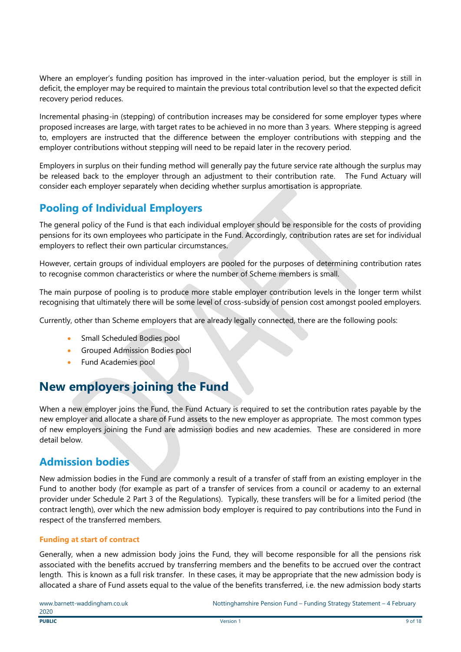Where an employer's funding position has improved in the inter-valuation period, but the employer is still in deficit, the employer may be required to maintain the previous total contribution level so that the expected deficit recovery period reduces.

Incremental phasing-in (stepping) of contribution increases may be considered for some employer types where proposed increases are large, with target rates to be achieved in no more than 3 years. Where stepping is agreed to, employers are instructed that the difference between the employer contributions with stepping and the employer contributions without stepping will need to be repaid later in the recovery period.

Employers in surplus on their funding method will generally pay the future service rate although the surplus may be released back to the employer through an adjustment to their contribution rate. The Fund Actuary will consider each employer separately when deciding whether surplus amortisation is appropriate.

### **Pooling of Individual Employers**

The general policy of the Fund is that each individual employer should be responsible for the costs of providing pensions for its own employees who participate in the Fund. Accordingly, contribution rates are set for individual employers to reflect their own particular circumstances.

However, certain groups of individual employers are pooled for the purposes of determining contribution rates to recognise common characteristics or where the number of Scheme members is small.

The main purpose of pooling is to produce more stable employer contribution levels in the longer term whilst recognising that ultimately there will be some level of cross-subsidy of pension cost amongst pooled employers.

Currently, other than Scheme employers that are already legally connected, there are the following pools:

- Small Scheduled Bodies pool
- Grouped Admission Bodies pool
- Fund Academies pool

# **New employers joining the Fund**

When a new employer joins the Fund, the Fund Actuary is required to set the contribution rates payable by the new employer and allocate a share of Fund assets to the new employer as appropriate. The most common types of new employers joining the Fund are admission bodies and new academies. These are considered in more detail below.

### **Admission bodies**

New admission bodies in the Fund are commonly a result of a transfer of staff from an existing employer in the Fund to another body (for example as part of a transfer of services from a council or academy to an external provider under Schedule 2 Part 3 of the Regulations). Typically, these transfers will be for a limited period (the contract length), over which the new admission body employer is required to pay contributions into the Fund in respect of the transferred members.

#### **Funding at start of contract**

Generally, when a new admission body joins the Fund, they will become responsible for all the pensions risk associated with the benefits accrued by transferring members and the benefits to be accrued over the contract length. This is known as a full risk transfer. In these cases, it may be appropriate that the new admission body is allocated a share of Fund assets equal to the value of the benefits transferred, i.e. the new admission body starts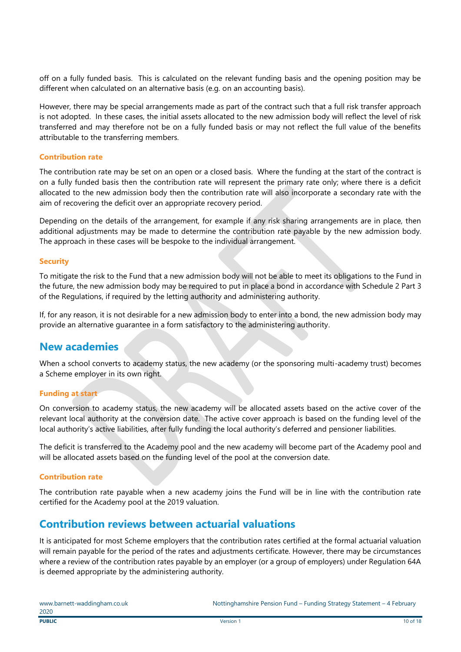off on a fully funded basis. This is calculated on the relevant funding basis and the opening position may be different when calculated on an alternative basis (e.g. on an accounting basis).

However, there may be special arrangements made as part of the contract such that a full risk transfer approach is not adopted. In these cases, the initial assets allocated to the new admission body will reflect the level of risk transferred and may therefore not be on a fully funded basis or may not reflect the full value of the benefits attributable to the transferring members.

#### **Contribution rate**

The contribution rate may be set on an open or a closed basis. Where the funding at the start of the contract is on a fully funded basis then the contribution rate will represent the primary rate only; where there is a deficit allocated to the new admission body then the contribution rate will also incorporate a secondary rate with the aim of recovering the deficit over an appropriate recovery period.

Depending on the details of the arrangement, for example if any risk sharing arrangements are in place, then additional adjustments may be made to determine the contribution rate payable by the new admission body. The approach in these cases will be bespoke to the individual arrangement.

#### **Security**

To mitigate the risk to the Fund that a new admission body will not be able to meet its obligations to the Fund in the future, the new admission body may be required to put in place a bond in accordance with Schedule 2 Part 3 of the Regulations, if required by the letting authority and administering authority.

If, for any reason, it is not desirable for a new admission body to enter into a bond, the new admission body may provide an alternative guarantee in a form satisfactory to the administering authority.

#### **New academies**

When a school converts to academy status, the new academy (or the sponsoring multi-academy trust) becomes a Scheme employer in its own right.

#### **Funding at start**

On conversion to academy status, the new academy will be allocated assets based on the active cover of the relevant local authority at the conversion date. The active cover approach is based on the funding level of the local authority's active liabilities, after fully funding the local authority's deferred and pensioner liabilities.

The deficit is transferred to the Academy pool and the new academy will become part of the Academy pool and will be allocated assets based on the funding level of the pool at the conversion date.

#### **Contribution rate**

The contribution rate payable when a new academy joins the Fund will be in line with the contribution rate certified for the Academy pool at the 2019 valuation.

### **Contribution reviews between actuarial valuations**

It is anticipated for most Scheme employers that the contribution rates certified at the formal actuarial valuation will remain payable for the period of the rates and adjustments certificate. However, there may be circumstances where a review of the contribution rates payable by an employer (or a group of employers) under Regulation 64A is deemed appropriate by the administering authority.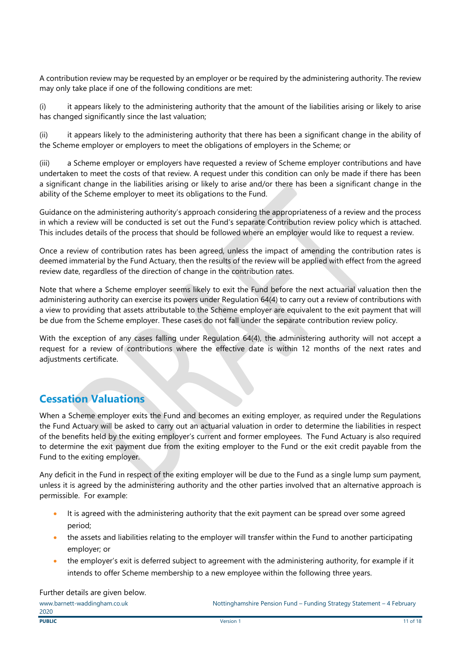A contribution review may be requested by an employer or be required by the administering authority. The review may only take place if one of the following conditions are met:

(i) it appears likely to the administering authority that the amount of the liabilities arising or likely to arise has changed significantly since the last valuation;

(ii) it appears likely to the administering authority that there has been a significant change in the ability of the Scheme employer or employers to meet the obligations of employers in the Scheme; or

(iii) a Scheme employer or employers have requested a review of Scheme employer contributions and have undertaken to meet the costs of that review. A request under this condition can only be made if there has been a significant change in the liabilities arising or likely to arise and/or there has been a significant change in the ability of the Scheme employer to meet its obligations to the Fund.

Guidance on the administering authority's approach considering the appropriateness of a review and the process in which a review will be conducted is set out the Fund's separate Contribution review policy which is attached. This includes details of the process that should be followed where an employer would like to request a review.

Once a review of contribution rates has been agreed, unless the impact of amending the contribution rates is deemed immaterial by the Fund Actuary, then the results of the review will be applied with effect from the agreed review date, regardless of the direction of change in the contribution rates.

Note that where a Scheme employer seems likely to exit the Fund before the next actuarial valuation then the administering authority can exercise its powers under Regulation 64(4) to carry out a review of contributions with a view to providing that assets attributable to the Scheme employer are equivalent to the exit payment that will be due from the Scheme employer. These cases do not fall under the separate contribution review policy.

With the exception of any cases falling under Regulation 64(4), the administering authority will not accept a request for a review of contributions where the effective date is within 12 months of the next rates and adjustments certificate.

### **Cessation Valuations**

When a Scheme employer exits the Fund and becomes an exiting employer, as required under the Regulations the Fund Actuary will be asked to carry out an actuarial valuation in order to determine the liabilities in respect of the benefits held by the exiting employer's current and former employees. The Fund Actuary is also required to determine the exit payment due from the exiting employer to the Fund or the exit credit payable from the Fund to the exiting employer.

Any deficit in the Fund in respect of the exiting employer will be due to the Fund as a single lump sum payment, unless it is agreed by the administering authority and the other parties involved that an alternative approach is permissible. For example:

- It is agreed with the administering authority that the exit payment can be spread over some agreed period;
- the assets and liabilities relating to the employer will transfer within the Fund to another participating employer; or
- the employer's exit is deferred subject to agreement with the administering authority, for example if it intends to offer Scheme membership to a new employee within the following three years.

Further details are given below.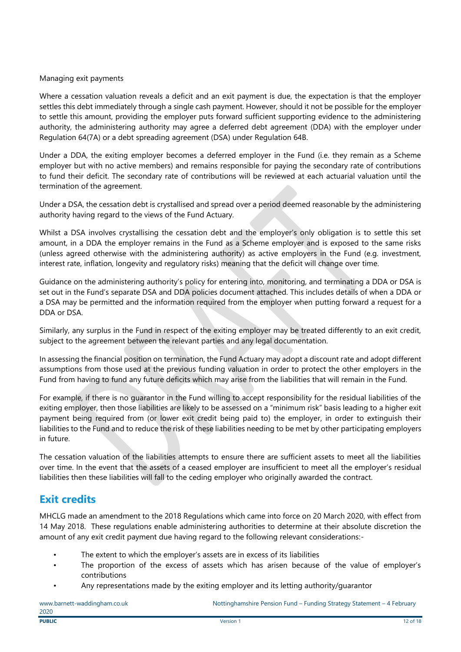#### Managing exit payments

Where a cessation valuation reveals a deficit and an exit payment is due, the expectation is that the employer settles this debt immediately through a single cash payment. However, should it not be possible for the employer to settle this amount, providing the employer puts forward sufficient supporting evidence to the administering authority, the administering authority may agree a deferred debt agreement (DDA) with the employer under Regulation 64(7A) or a debt spreading agreement (DSA) under Regulation 64B.

Under a DDA, the exiting employer becomes a deferred employer in the Fund (i.e. they remain as a Scheme employer but with no active members) and remains responsible for paying the secondary rate of contributions to fund their deficit. The secondary rate of contributions will be reviewed at each actuarial valuation until the termination of the agreement.

Under a DSA, the cessation debt is crystallised and spread over a period deemed reasonable by the administering authority having regard to the views of the Fund Actuary.

Whilst a DSA involves crystallising the cessation debt and the employer's only obligation is to settle this set amount, in a DDA the employer remains in the Fund as a Scheme employer and is exposed to the same risks (unless agreed otherwise with the administering authority) as active employers in the Fund (e.g. investment, interest rate, inflation, longevity and regulatory risks) meaning that the deficit will change over time.

Guidance on the administering authority's policy for entering into, monitoring, and terminating a DDA or DSA is set out in the Fund's separate DSA and DDA policies document attached. This includes details of when a DDA or a DSA may be permitted and the information required from the employer when putting forward a request for a DDA or DSA.

Similarly, any surplus in the Fund in respect of the exiting employer may be treated differently to an exit credit, subject to the agreement between the relevant parties and any legal documentation.

In assessing the financial position on termination, the Fund Actuary may adopt a discount rate and adopt different assumptions from those used at the previous funding valuation in order to protect the other employers in the Fund from having to fund any future deficits which may arise from the liabilities that will remain in the Fund.

For example, if there is no guarantor in the Fund willing to accept responsibility for the residual liabilities of the exiting employer, then those liabilities are likely to be assessed on a "minimum risk" basis leading to a higher exit payment being required from (or lower exit credit being paid to) the employer, in order to extinguish their liabilities to the Fund and to reduce the risk of these liabilities needing to be met by other participating employers in future.

The cessation valuation of the liabilities attempts to ensure there are sufficient assets to meet all the liabilities over time. In the event that the assets of a ceased employer are insufficient to meet all the employer's residual liabilities then these liabilities will fall to the ceding employer who originally awarded the contract.

### **Exit credits**

MHCLG made an amendment to the 2018 Regulations which came into force on 20 March 2020, with effect from 14 May 2018. These regulations enable administering authorities to determine at their absolute discretion the amount of any exit credit payment due having regard to the following relevant considerations:-

- The extent to which the employer's assets are in excess of its liabilities
- The proportion of the excess of assets which has arisen because of the value of employer's contributions
- Any representations made by the exiting employer and its letting authority/guarantor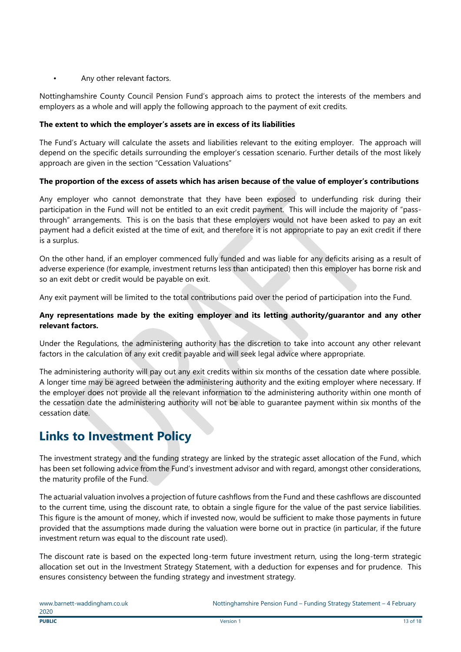#### Any other relevant factors.

Nottinghamshire County Council Pension Fund's approach aims to protect the interests of the members and employers as a whole and will apply the following approach to the payment of exit credits.

#### **The extent to which the employer's assets are in excess of its liabilities**

The Fund's Actuary will calculate the assets and liabilities relevant to the exiting employer. The approach will depend on the specific details surrounding the employer's cessation scenario. Further details of the most likely approach are given in the section "Cessation Valuations"

#### **The proportion of the excess of assets which has arisen because of the value of employer's contributions**

Any employer who cannot demonstrate that they have been exposed to underfunding risk during their participation in the Fund will not be entitled to an exit credit payment. This will include the majority of "passthrough" arrangements. This is on the basis that these employers would not have been asked to pay an exit payment had a deficit existed at the time of exit, and therefore it is not appropriate to pay an exit credit if there is a surplus.

On the other hand, if an employer commenced fully funded and was liable for any deficits arising as a result of adverse experience (for example, investment returns less than anticipated) then this employer has borne risk and so an exit debt or credit would be payable on exit.

Any exit payment will be limited to the total contributions paid over the period of participation into the Fund.

#### **Any representations made by the exiting employer and its letting authority/guarantor and any other relevant factors.**

Under the Regulations, the administering authority has the discretion to take into account any other relevant factors in the calculation of any exit credit payable and will seek legal advice where appropriate.

The administering authority will pay out any exit credits within six months of the cessation date where possible. A longer time may be agreed between the administering authority and the exiting employer where necessary. If the employer does not provide all the relevant information to the administering authority within one month of the cessation date the administering authority will not be able to guarantee payment within six months of the cessation date.

# **Links to Investment Policy**

The investment strategy and the funding strategy are linked by the strategic asset allocation of the Fund, which has been set following advice from the Fund's investment advisor and with regard, amongst other considerations, the maturity profile of the Fund.

The actuarial valuation involves a projection of future cashflows from the Fund and these cashflows are discounted to the current time, using the discount rate, to obtain a single figure for the value of the past service liabilities. This figure is the amount of money, which if invested now, would be sufficient to make those payments in future provided that the assumptions made during the valuation were borne out in practice (in particular, if the future investment return was equal to the discount rate used).

The discount rate is based on the expected long-term future investment return, using the long-term strategic allocation set out in the Investment Strategy Statement, with a deduction for expenses and for prudence. This ensures consistency between the funding strategy and investment strategy.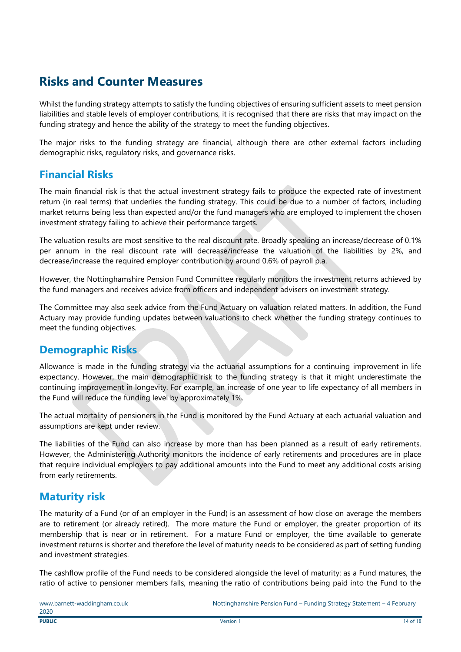# **Risks and Counter Measures**

Whilst the funding strategy attempts to satisfy the funding objectives of ensuring sufficient assets to meet pension liabilities and stable levels of employer contributions, it is recognised that there are risks that may impact on the funding strategy and hence the ability of the strategy to meet the funding objectives.

The major risks to the funding strategy are financial, although there are other external factors including demographic risks, regulatory risks, and governance risks.

### **Financial Risks**

The main financial risk is that the actual investment strategy fails to produce the expected rate of investment return (in real terms) that underlies the funding strategy. This could be due to a number of factors, including market returns being less than expected and/or the fund managers who are employed to implement the chosen investment strategy failing to achieve their performance targets.

The valuation results are most sensitive to the real discount rate. Broadly speaking an increase/decrease of 0.1% per annum in the real discount rate will decrease/increase the valuation of the liabilities by 2%, and decrease/increase the required employer contribution by around 0.6% of payroll p.a.

However, the Nottinghamshire Pension Fund Committee regularly monitors the investment returns achieved by the fund managers and receives advice from officers and independent advisers on investment strategy.

The Committee may also seek advice from the Fund Actuary on valuation related matters. In addition, the Fund Actuary may provide funding updates between valuations to check whether the funding strategy continues to meet the funding objectives.

### **Demographic Risks**

Allowance is made in the funding strategy via the actuarial assumptions for a continuing improvement in life expectancy. However, the main demographic risk to the funding strategy is that it might underestimate the continuing improvement in longevity. For example, an increase of one year to life expectancy of all members in the Fund will reduce the funding level by approximately 1%.

The actual mortality of pensioners in the Fund is monitored by the Fund Actuary at each actuarial valuation and assumptions are kept under review.

The liabilities of the Fund can also increase by more than has been planned as a result of early retirements. However, the Administering Authority monitors the incidence of early retirements and procedures are in place that require individual employers to pay additional amounts into the Fund to meet any additional costs arising from early retirements.

### **Maturity risk**

The maturity of a Fund (or of an employer in the Fund) is an assessment of how close on average the members are to retirement (or already retired). The more mature the Fund or employer, the greater proportion of its membership that is near or in retirement. For a mature Fund or employer, the time available to generate investment returns is shorter and therefore the level of maturity needs to be considered as part of setting funding and investment strategies.

The cashflow profile of the Fund needs to be considered alongside the level of maturity: as a Fund matures, the ratio of active to pensioner members falls, meaning the ratio of contributions being paid into the Fund to the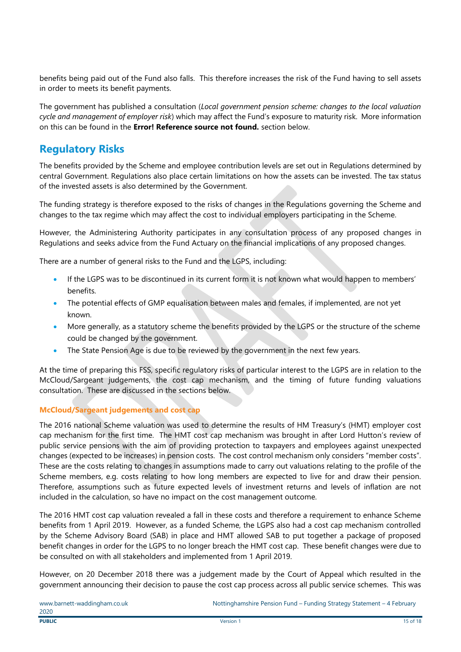benefits being paid out of the Fund also falls. This therefore increases the risk of the Fund having to sell assets in order to meets its benefit payments.

The government has published a consultation (*Local government pension scheme: changes to the local valuation cycle and management of employer risk*) which may affect the Fund's exposure to maturity risk. More information on this can be found in the **Error! Reference source not found.** section below.

### **Regulatory Risks**

The benefits provided by the Scheme and employee contribution levels are set out in Regulations determined by central Government. Regulations also place certain limitations on how the assets can be invested. The tax status of the invested assets is also determined by the Government.

The funding strategy is therefore exposed to the risks of changes in the Regulations governing the Scheme and changes to the tax regime which may affect the cost to individual employers participating in the Scheme.

However, the Administering Authority participates in any consultation process of any proposed changes in Regulations and seeks advice from the Fund Actuary on the financial implications of any proposed changes.

There are a number of general risks to the Fund and the LGPS, including:

- If the LGPS was to be discontinued in its current form it is not known what would happen to members' benefits.
- The potential effects of GMP equalisation between males and females, if implemented, are not yet known.
- More generally, as a statutory scheme the benefits provided by the LGPS or the structure of the scheme could be changed by the government.
- The State Pension Age is due to be reviewed by the government in the next few years.

At the time of preparing this FSS, specific regulatory risks of particular interest to the LGPS are in relation to the McCloud/Sargeant judgements, the cost cap mechanism, and the timing of future funding valuations consultation. These are discussed in the sections below.

#### **McCloud/Sargeant judgements and cost cap**

The 2016 national Scheme valuation was used to determine the results of HM Treasury's (HMT) employer cost cap mechanism for the first time. The HMT cost cap mechanism was brought in after Lord Hutton's review of public service pensions with the aim of providing protection to taxpayers and employees against unexpected changes (expected to be increases) in pension costs. The cost control mechanism only considers "member costs". These are the costs relating to changes in assumptions made to carry out valuations relating to the profile of the Scheme members, e.g. costs relating to how long members are expected to live for and draw their pension. Therefore, assumptions such as future expected levels of investment returns and levels of inflation are not included in the calculation, so have no impact on the cost management outcome.

The 2016 HMT cost cap valuation revealed a fall in these costs and therefore a requirement to enhance Scheme benefits from 1 April 2019. However, as a funded Scheme, the LGPS also had a cost cap mechanism controlled by the Scheme Advisory Board (SAB) in place and HMT allowed SAB to put together a package of proposed benefit changes in order for the LGPS to no longer breach the HMT cost cap. These benefit changes were due to be consulted on with all stakeholders and implemented from 1 April 2019.

However, on 20 December 2018 there was a judgement made by the Court of Appeal which resulted in the government announcing their decision to pause the cost cap process across all public service schemes. This was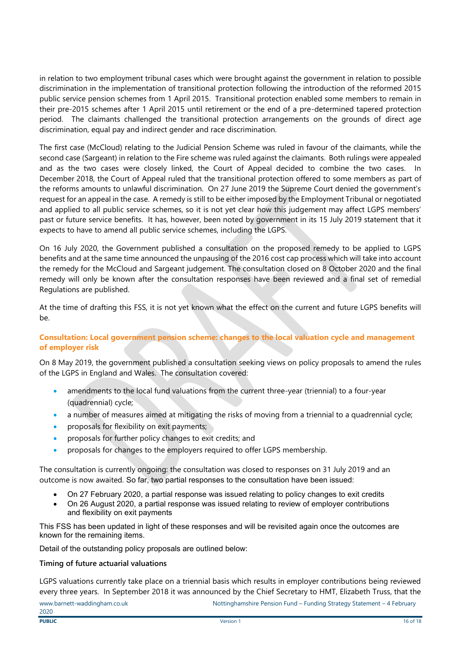in relation to two employment tribunal cases which were brought against the government in relation to possible discrimination in the implementation of transitional protection following the introduction of the reformed 2015 public service pension schemes from 1 April 2015. Transitional protection enabled some members to remain in their pre-2015 schemes after 1 April 2015 until retirement or the end of a pre-determined tapered protection period. The claimants challenged the transitional protection arrangements on the grounds of direct age discrimination, equal pay and indirect gender and race discrimination.

The first case (McCloud) relating to the Judicial Pension Scheme was ruled in favour of the claimants, while the second case (Sargeant) in relation to the Fire scheme was ruled against the claimants. Both rulings were appealed and as the two cases were closely linked, the Court of Appeal decided to combine the two cases. In December 2018, the Court of Appeal ruled that the transitional protection offered to some members as part of the reforms amounts to unlawful discrimination. On 27 June 2019 the Supreme Court denied the government's request for an appeal in the case. A remedy is still to be either imposed by the Employment Tribunal or negotiated and applied to all public service schemes, so it is not yet clear how this judgement may affect LGPS members' past or future service benefits. It has, however, been noted by government in its 15 July 2019 statement that it expects to have to amend all public service schemes, including the LGPS.

On 16 July 2020, the Government published a consultation on the proposed remedy to be applied to LGPS benefits and at the same time announced the unpausing of the 2016 cost cap process which will take into account the remedy for the McCloud and Sargeant judgement. The consultation closed on 8 October 2020 and the final remedy will only be known after the consultation responses have been reviewed and a final set of remedial Regulations are published.

At the time of drafting this FSS, it is not yet known what the effect on the current and future LGPS benefits will be.

#### **Consultation: Local government pension scheme: changes to the local valuation cycle and management of employer risk**

On 8 May 2019, the government published a consultation seeking views on policy proposals to amend the rules of the LGPS in England and Wales. The consultation covered:

- amendments to the local fund valuations from the current three-year (triennial) to a four-year (quadrennial) cycle;
- a number of measures aimed at mitigating the risks of moving from a triennial to a quadrennial cycle;
- proposals for flexibility on exit payments;
- proposals for further policy changes to exit credits; and
- proposals for changes to the employers required to offer LGPS membership.

The consultation is currently ongoing: the consultation was closed to responses on 31 July 2019 and an outcome is now awaited. So far, two partial responses to the consultation have been issued:

- On 27 February 2020, a partial response was issued relating to policy changes to exit credits
- On 26 August 2020, a partial response was issued relating to review of employer contributions and flexibility on exit payments

This FSS has been updated in light of these responses and will be revisited again once the outcomes are known for the remaining items.

Detail of the outstanding policy proposals are outlined below:

#### **Timing of future actuarial valuations**

LGPS valuations currently take place on a triennial basis which results in employer contributions being reviewed every three years. In September 2018 it was announced by the Chief Secretary to HMT, Elizabeth Truss, that the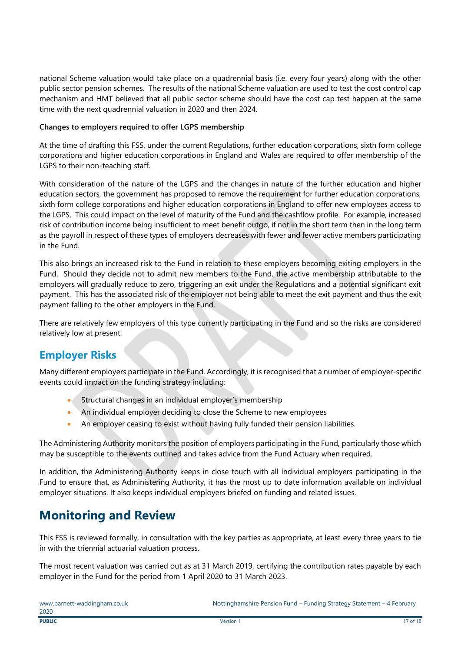national Scheme valuation would take place on a quadrennial basis (i.e. every four years) along with the other public sector pension schemes. The results of the national Scheme valuation are used to test the cost control cap mechanism and HMT believed that all public sector scheme should have the cost cap test happen at the same time with the next quadrennial valuation in 2020 and then 2024.

#### **Changes to employers required to offer LGPS membership**

At the time of drafting this FSS, under the current Regulations, further education corporations, sixth form college corporations and higher education corporations in England and Wales are required to offer membership of the LGPS to their non-teaching staff.

With consideration of the nature of the LGPS and the changes in nature of the further education and higher education sectors, the government has proposed to remove the requirement for further education corporations, sixth form college corporations and higher education corporations in England to offer new employees access to the LGPS. This could impact on the level of maturity of the Fund and the cashflow profile. For example, increased risk of contribution income being insufficient to meet benefit outgo, if not in the short term then in the long term as the payroll in respect of these types of employers decreases with fewer and fewer active members participating in the Fund.

This also brings an increased risk to the Fund in relation to these employers becoming exiting employers in the Fund. Should they decide not to admit new members to the Fund, the active membership attributable to the employers will gradually reduce to zero, triggering an exit under the Regulations and a potential significant exit payment. This has the associated risk of the employer not being able to meet the exit payment and thus the exit payment falling to the other employers in the Fund.

There are relatively few employers of this type currently participating in the Fund and so the risks are considered relatively low at present.

### **Employer Risks**

Many different employers participate in the Fund. Accordingly, it is recognised that a number of employer-specific events could impact on the funding strategy including:

- Structural changes in an individual employer's membership
- An individual employer deciding to close the Scheme to new employees
- An employer ceasing to exist without having fully funded their pension liabilities.

The Administering Authority monitors the position of employers participating in the Fund, particularly those which may be susceptible to the events outlined and takes advice from the Fund Actuary when required.

In addition, the Administering Authority keeps in close touch with all individual employers participating in the Fund to ensure that, as Administering Authority, it has the most up to date information available on individual employer situations. It also keeps individual employers briefed on funding and related issues.

# **Monitoring and Review**

This FSS is reviewed formally, in consultation with the key parties as appropriate, at least every three years to tie in with the triennial actuarial valuation process.

The most recent valuation was carried out as at 31 March 2019, certifying the contribution rates payable by each employer in the Fund for the period from 1 April 2020 to 31 March 2023.